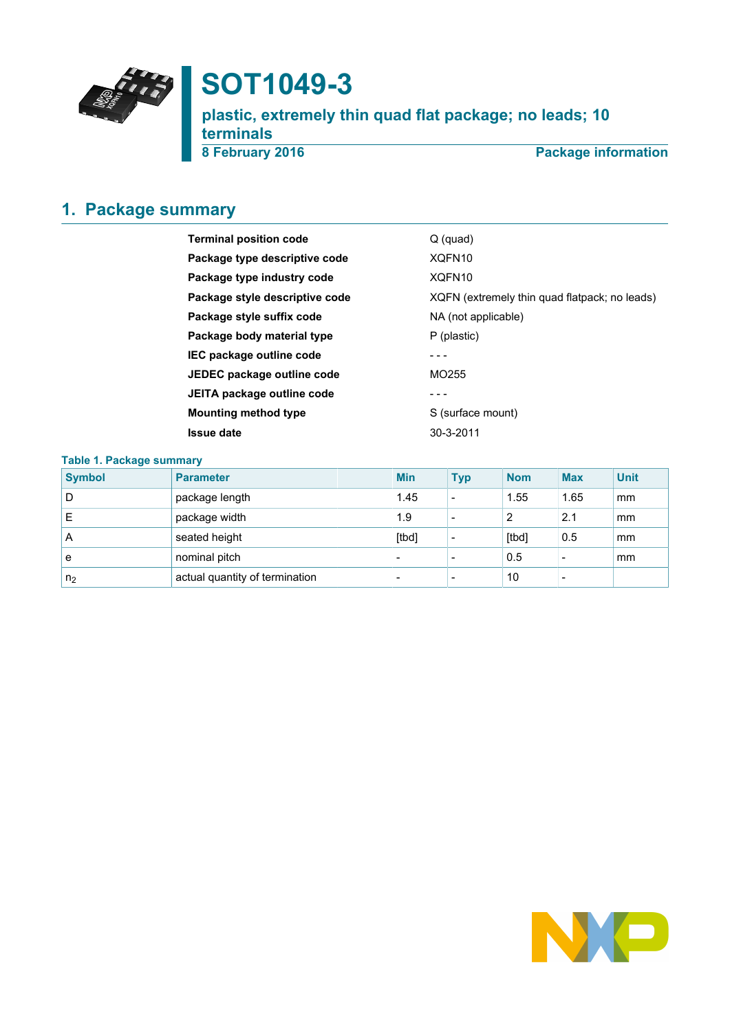

# **SOT1049-3**

**plastic, extremely thin quad flat package; no leads; 10 terminals 8 February 2016 Package information**

# <span id="page-0-0"></span>**1. Package summary**

| <b>Terminal position code</b>  | $Q$ (quad)                                    |
|--------------------------------|-----------------------------------------------|
| Package type descriptive code  | XQFN10                                        |
| Package type industry code     | XQFN10                                        |
| Package style descriptive code | XQFN (extremely thin quad flatpack; no leads) |
| Package style suffix code      | NA (not applicable)                           |
| Package body material type     | P (plastic)                                   |
| IEC package outline code       |                                               |
| JEDEC package outline code     | MO <sub>255</sub>                             |
| JEITA package outline code     |                                               |
| <b>Mounting method type</b>    | S (surface mount)                             |
| Issue date                     | 30-3-2011                                     |
|                                |                                               |

### **Table 1. Package summary**

| <b>Symbol</b>  | <b>Parameter</b>               | <b>Min</b>               | <b>Typ</b>               | <b>Nom</b> | <b>Max</b>               | <b>Unit</b> |
|----------------|--------------------------------|--------------------------|--------------------------|------------|--------------------------|-------------|
| D              | package length                 | 1.45                     | $\overline{\phantom{a}}$ | 1.55       | 1.65                     | mm          |
| E              | package width                  | 1.9                      |                          | 2          | 2.1                      | mm          |
| A              | seated height                  | [tbd]                    |                          | [tbd]      | 0.5                      | mm          |
| e              | nominal pitch                  |                          |                          | 0.5        | -                        | mm          |
| n <sub>2</sub> | actual quantity of termination | $\overline{\phantom{0}}$ | $\overline{\phantom{a}}$ | 10         | $\overline{\phantom{0}}$ |             |

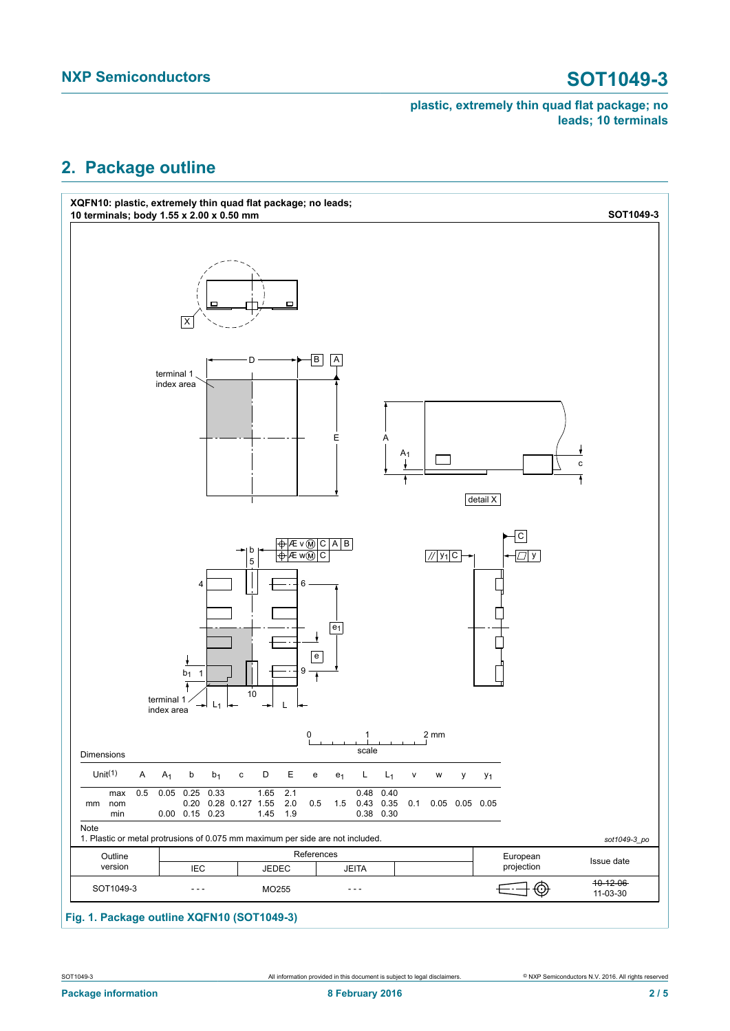# <span id="page-1-0"></span>**2. Package outline**



# **Fig. 1. Package outline XQFN10 (SOT1049-3)**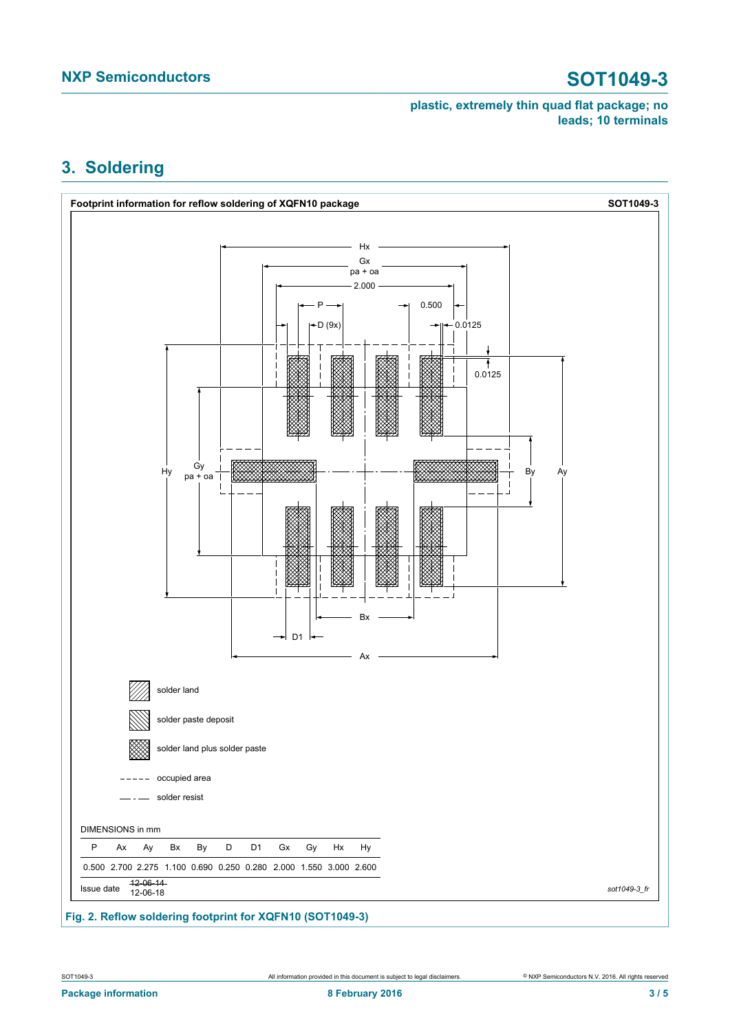# <span id="page-2-0"></span>**3. Soldering**



**Fig. 2. Reflow soldering footprint for XQFN10 (SOT1049-3)**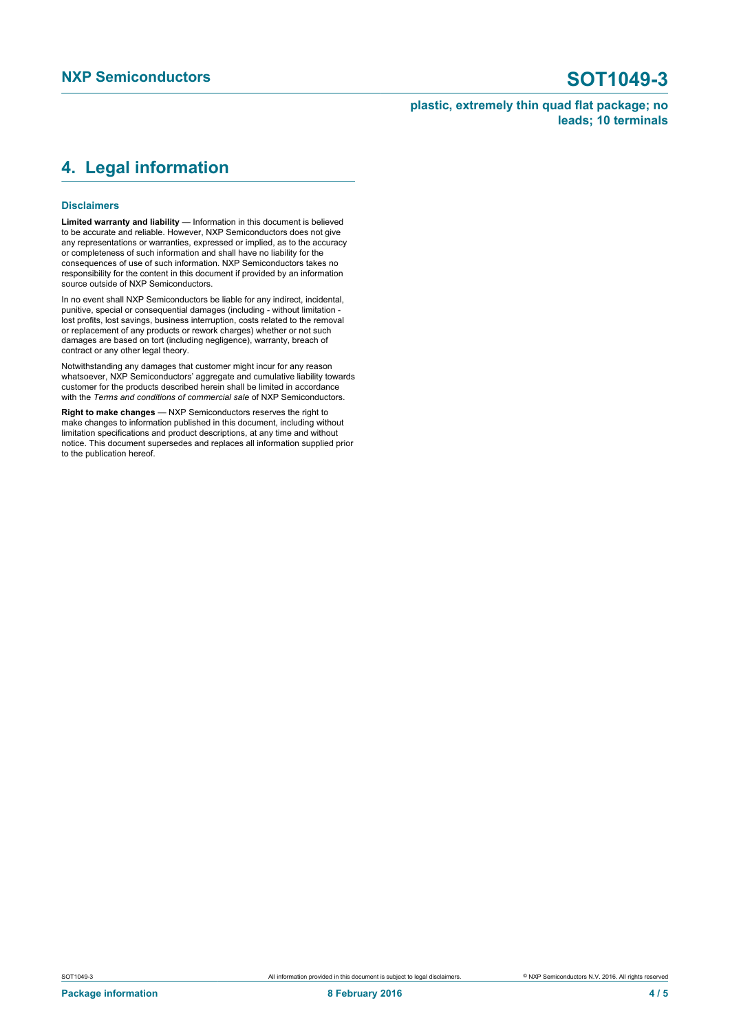# <span id="page-3-0"></span>**4. Legal information**

### **Disclaimers**

**Limited warranty and liability** — Information in this document is believed to be accurate and reliable. However, NXP Semiconductors does not give any representations or warranties, expressed or implied, as to the accuracy or completeness of such information and shall have no liability for the consequences of use of such information. NXP Semiconductors takes no responsibility for the content in this document if provided by an information source outside of NXP Semiconductors.

In no event shall NXP Semiconductors be liable for any indirect, incidental, punitive, special or consequential damages (including - without limitation lost profits, lost savings, business interruption, costs related to the removal or replacement of any products or rework charges) whether or not such damages are based on tort (including negligence), warranty, breach of contract or any other legal theory.

Notwithstanding any damages that customer might incur for any reason whatsoever, NXP Semiconductors' aggregate and cumulative liability towards customer for the products described herein shall be limited in accordance with the *Terms and conditions of commercial sale* of NXP Semiconductors.

**Right to make changes** — NXP Semiconductors reserves the right to make changes to information published in this document, including without limitation specifications and product descriptions, at any time and without notice. This document supersedes and replaces all information supplied prior to the publication hereof.